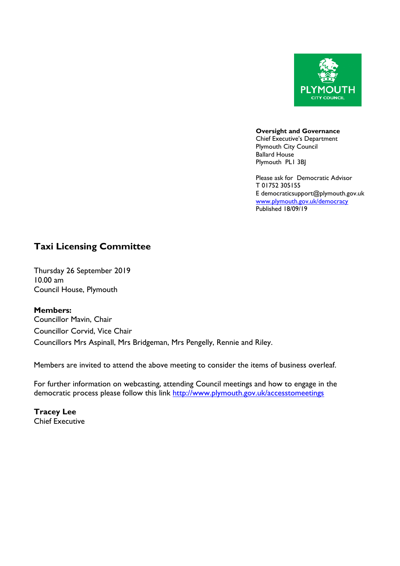

**Oversight and Governance** Chief Executive's Department Plymouth City Council Ballard House Plymouth PL1 3BJ

Please ask for Democratic Advisor T 01752 305155 E democraticsupport@plymouth.gov.uk [www.plymouth.gov.uk](http://www.plymouth.gov.uk/)/democracy Published 18/09/19

## **Taxi Licensing Committee**

Thursday 26 September 2019 10.00 am Council House, Plymouth

**Members:**

Councillor Mavin, Chair Councillor Corvid, Vice Chair Councillors Mrs Aspinall, Mrs Bridgeman, Mrs Pengelly, Rennie and Riley.

Members are invited to attend the above meeting to consider the items of business overleaf.

For further information on webcasting, attending Council meetings and how to engage in the democratic process please follow this link <http://www.plymouth.gov.uk/accesstomeetings>

**Tracey Lee** Chief Executive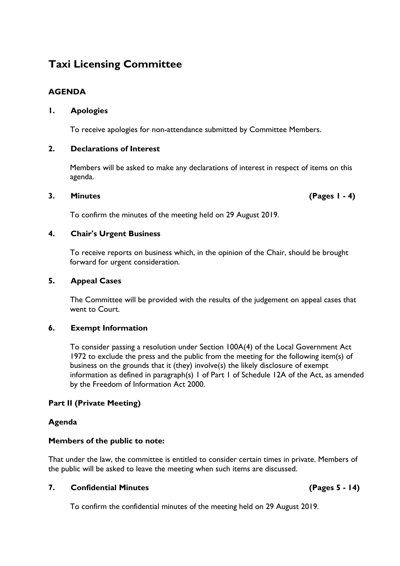# **Taxi Licensing Committee**

### **AGENDA**

#### **1. Apologies**

To receive apologies for non-attendance submitted by Committee Members.

#### **2. Declarations of Interest**

Members will be asked to make any declarations of interest in respect of items on this agenda.

#### **3. Minutes (Pages 1 - 4)**

To confirm the minutes of the meeting held on 29 August 2019.

#### **4. Chair's Urgent Business**

To receive reports on business which, in the opinion of the Chair, should be brought forward for urgent consideration.

#### **5. Appeal Cases**

The Committee will be provided with the results of the judgement on appeal cases that went to Court.

#### **6. Exempt Information**

To consider passing a resolution under Section 100A(4) of the Local Government Act 1972 to exclude the press and the public from the meeting for the following item(s) of business on the grounds that it (they) involve(s) the likely disclosure of exempt information as defined in paragraph(s) 1 of Part 1 of Schedule 12A of the Act, as amended by the Freedom of Information Act 2000.

#### **Part II (Private Meeting)**

#### **Agenda**

#### **Members of the public to note:**

That under the law, the committee is entitled to consider certain times in private. Members of the public will be asked to leave the meeting when such items are discussed.

#### **7. Confidential Minutes (Pages 5 - 14)**

To confirm the confidential minutes of the meeting held on 29 August 2019.